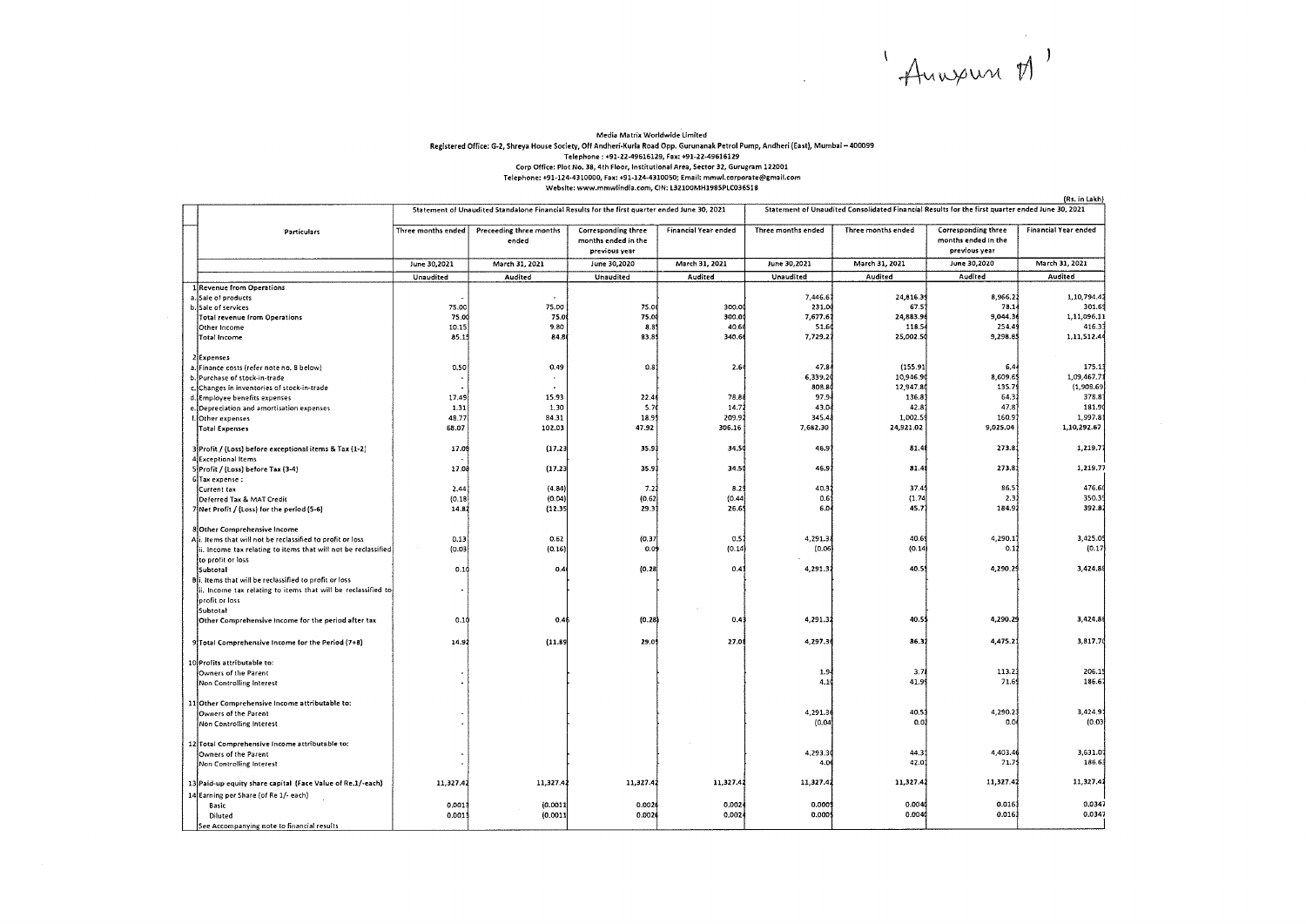'Anneur M'

 $\frac{1}{2}$ 

## Media Matrix Worldwide limited Registered Office: G-2, Shreya House Society, Off Andheri-Kurla Road Opp. Gurunanak Petrol Pump, Andheri (East), Mumbai - 400099 Telephone: +91-22-49616129, Fax: +91-22-49616129 Corp Office: Plot No, 38, 4th Floor, Institutional Area, Sector 32, Gurugram 122001 Telephone: +91-124-4310000, Fax: +91-124-4310050; Email: mmwl.corporate@gmail.com Website: www.mmwlindia.com, CIN: L32100MH1985PLC036518

(Rs in Lakh)

|                                       |                                                                | Statement of Unaudited Standalone Financial Results for the first quarter ended June 30, 2021 |                                  |                                                             |                         | Statement of Unaudited Consolidated Financial Results for the first quarter ended June 30, 2021 |                    |                                                             |                      |
|---------------------------------------|----------------------------------------------------------------|-----------------------------------------------------------------------------------------------|----------------------------------|-------------------------------------------------------------|-------------------------|-------------------------------------------------------------------------------------------------|--------------------|-------------------------------------------------------------|----------------------|
|                                       | <b>Particulars</b>                                             | Three months ended                                                                            | Preceeding three months<br>ended | Corresponding three<br>months ended in the<br>previous year | Financial Year ended    | Three months ended                                                                              | Three months ended | Corresponding three<br>months ended in the<br>previous year | Financial Year ended |
|                                       |                                                                | June 30,2021                                                                                  | March 31, 2021                   | June 30,2020                                                | March 31, 2021          | June 30,2021                                                                                    | March 31, 2021     | June 30,2020                                                | March 31, 2021       |
|                                       |                                                                | Unaudited                                                                                     | Audited                          | Unaudited                                                   | Audited                 | Unaudited                                                                                       | Audited            | Audited                                                     | Audited              |
|                                       | 1 Revenue from Operations                                      |                                                                                               |                                  |                                                             |                         |                                                                                                 |                    |                                                             |                      |
|                                       | a. Sale of products                                            |                                                                                               |                                  |                                                             |                         | 7,446.6                                                                                         | 24,816.39          | 8,966.2                                                     | 1,10,794.4           |
|                                       | b. Sale of services                                            | 75.00                                                                                         | 75.00                            | 75.0                                                        | 300.00                  | 231.0                                                                                           | 67.5               | 78.1                                                        | 301.69               |
|                                       | Total revenue from Operations                                  | 75.00                                                                                         | 75.0                             | 75.0                                                        | 300.00                  | 7,677.6                                                                                         | 24,883.9           | 9,044.3                                                     | 1,11,096.11          |
|                                       | Other Income                                                   | 10.15                                                                                         | 9,80                             | 8.85                                                        | 40.66                   | 51.6                                                                                            | 118.5              | 254.4                                                       | 416.33               |
|                                       | <b>Total Income</b>                                            | 85.15                                                                                         | 84.8                             | 83.8                                                        | 340.6                   | 7,729.2                                                                                         | 25,002.5           | 9,298.8                                                     | 1,11,512.4           |
|                                       |                                                                |                                                                                               |                                  |                                                             |                         |                                                                                                 |                    |                                                             |                      |
|                                       | 2 Expenses<br>a. Finance costs (refer note no. 8 below)        | 0.50                                                                                          | 0.49                             | 0.8                                                         | 2.6                     | 47.8                                                                                            | (155.91            | 6,4                                                         | 175.1                |
|                                       | b. Purchase of stock-in-trade                                  |                                                                                               |                                  |                                                             |                         | 6,339.20                                                                                        | 10,946.9           | 8,609.6                                                     | 1,09,467.7           |
|                                       | c. Changes in inventories of stock-in-trade                    |                                                                                               |                                  |                                                             |                         | 808.8                                                                                           | 12,947.8           | 135.7                                                       | (1,908.69            |
|                                       | d. Employee benefits expenses                                  | 17.49                                                                                         | 15.93                            | 22.4                                                        | 78.88                   | 97.9                                                                                            | 136.8              | 64.3                                                        | 378.8                |
|                                       | e. Depreciation and amortisation expenses                      | 1.31                                                                                          | 1.30                             | 5.7                                                         | 14.7                    | 43.0                                                                                            | 42.8               | 47.8                                                        | 181.9                |
|                                       | f. Other expenses                                              | 48.77                                                                                         | 84.31                            | 18.99                                                       | 209.9                   | 345.4                                                                                           | 1,002.5            | 160.9                                                       | 1,997.8              |
|                                       | Total Expenses                                                 | 68.07                                                                                         | 102.03                           | 47.92                                                       | 306.16                  | 7,682.30                                                                                        | 24,921.02          | 9,025.04                                                    | 1.10.292.67          |
|                                       |                                                                |                                                                                               |                                  |                                                             |                         |                                                                                                 |                    |                                                             |                      |
|                                       | 3 Profit / (Loss) before exceptional items & Tax (1-2)         | 17.08                                                                                         | (17.23)                          | 35.93                                                       | 34.50                   | 46.9                                                                                            | 81.4               | 273.8                                                       | 1,219.77             |
|                                       | 4 Exceptional Items                                            |                                                                                               |                                  |                                                             |                         |                                                                                                 |                    |                                                             |                      |
|                                       | 5 Profit / (Loss) before Tax (3-4)                             | 17.08                                                                                         | (17.23)                          | 35.93                                                       | 34.50                   | 46.9                                                                                            | 81.4               | 273.8                                                       | 1,219.77             |
|                                       | 6 Tax expense:                                                 |                                                                                               |                                  |                                                             |                         |                                                                                                 |                    |                                                             |                      |
|                                       | Current tax                                                    | 2,44                                                                                          | (4.84)                           | 7.21                                                        | 8.29                    | 40.3                                                                                            | 37.4               | 86.5                                                        | 476.60               |
|                                       | Deferred Tax & MAT Credit                                      | (0.18)                                                                                        | (0.04)                           | (0.62)                                                      | (0.44)                  | 0.6                                                                                             | (1.74)             | 2.3                                                         | 350.3                |
|                                       | 7 Net Profit / (Loss) for the period (5-6)                     | 14.82                                                                                         | (12.35)                          | 29.3                                                        | 26.6                    | 6.0                                                                                             | 45.7               | 184.9                                                       | 392.82               |
|                                       |                                                                |                                                                                               |                                  |                                                             |                         |                                                                                                 |                    |                                                             |                      |
|                                       | <b>8 Other Comprehensive Income</b>                            |                                                                                               |                                  |                                                             |                         |                                                                                                 | 40.6               | 4,290.1                                                     | 3,425.0              |
|                                       | Ali. Items that will not be reclassified to profit or loss     | 0.13<br>(0.03)                                                                                | 0.62<br>(0.16)                   | (0.37)<br>0.09                                              | $0.5^{\circ}$<br>(0.14) | 4,291.3<br>[0.06]                                                                               | (0.14)             | 0.1                                                         | (0.17)               |
|                                       | ii. Income tax relating to items that will not be reclassified |                                                                                               |                                  |                                                             |                         |                                                                                                 |                    |                                                             |                      |
|                                       | to profit or loss<br>Subtotal                                  | 0.10                                                                                          | 0.4(                             | (0.28)                                                      | 0.41                    | 4,291.3                                                                                         | 40.5               | 4,290.29                                                    | 3,424.8              |
|                                       | Bi. Items that will be reclassified to profit or loss          |                                                                                               |                                  |                                                             |                         |                                                                                                 |                    |                                                             |                      |
|                                       | ii. Income tax relating to items that will be reclassified to  |                                                                                               |                                  |                                                             |                         |                                                                                                 |                    |                                                             |                      |
|                                       | profit or loss                                                 |                                                                                               |                                  |                                                             |                         |                                                                                                 |                    |                                                             |                      |
|                                       | Subtotal                                                       |                                                                                               |                                  |                                                             |                         |                                                                                                 |                    |                                                             |                      |
|                                       | Other Comprehensive Income for the period after tax            | 0.10                                                                                          | 0.46                             | (0.28)                                                      | 0.41                    | 4,291.32                                                                                        | 40.5\$             | 4,290.29                                                    | 3,424.88             |
|                                       |                                                                |                                                                                               |                                  |                                                             |                         |                                                                                                 |                    |                                                             |                      |
|                                       | 9 Total Comprehensive Income for the Period (7+8)              | 14.9.                                                                                         | (11.89)                          | 29.0                                                        | 27.01                   | 4,297.30                                                                                        | 86.3               | 4,475.2                                                     | 3,817.7              |
|                                       |                                                                |                                                                                               |                                  |                                                             |                         |                                                                                                 |                    |                                                             |                      |
|                                       | 10 Profits attributable to:                                    |                                                                                               |                                  |                                                             |                         |                                                                                                 |                    |                                                             |                      |
|                                       | Owners of the Parent                                           |                                                                                               |                                  |                                                             |                         | $1.9 -$                                                                                         | 3.7                | 113.2                                                       | 206.1                |
|                                       | Non Controlling Interest                                       |                                                                                               |                                  |                                                             |                         | 4.10                                                                                            | 41.99              | 71.6                                                        | 186.6                |
|                                       |                                                                |                                                                                               |                                  |                                                             |                         |                                                                                                 |                    |                                                             |                      |
|                                       | 11 Other Comprehensive Income attributable to:                 |                                                                                               |                                  |                                                             |                         |                                                                                                 |                    |                                                             |                      |
|                                       | Owners of the Parent                                           |                                                                                               |                                  |                                                             |                         | 4,291.36                                                                                        | 40.53              | 4,290.2                                                     | 3,424.91             |
|                                       | Non Controlling Interest                                       |                                                                                               |                                  |                                                             |                         | (0.04)                                                                                          | 0.01               | 0.0                                                         | (0.03)               |
|                                       |                                                                |                                                                                               |                                  |                                                             |                         |                                                                                                 |                    |                                                             |                      |
|                                       | 12 Total Comprehensive Income attributable to:                 |                                                                                               |                                  |                                                             |                         | 4,293.30                                                                                        | 44.3               | 4,403.4                                                     | 3,631.0              |
|                                       | Owners of the Parent<br>Non Controlling Interest               |                                                                                               |                                  |                                                             |                         | 4.0                                                                                             | 42.0               | 71.7                                                        | 186.63               |
|                                       |                                                                |                                                                                               |                                  |                                                             |                         |                                                                                                 |                    |                                                             |                      |
|                                       | 13 Paid-up equity share capital (Face Value of Re.1/-each)     | 11,327.42                                                                                     | 11,327.42                        | 11,327.42                                                   | 11,327.42               | 11,327.42                                                                                       | 11,327.42          | 11,327.4                                                    | 11,327.42            |
| 14 Earning per Share (of Re 1/- each) |                                                                |                                                                                               |                                  |                                                             |                         |                                                                                                 |                    |                                                             |                      |
|                                       | Basic                                                          | 0.0013                                                                                        | (0.0011)                         | 0.0026                                                      | 0.002                   | 0.0005                                                                                          | 0.004              | 0.016                                                       | 0.0347               |
|                                       | Diluted                                                        | 0.0013                                                                                        | (0.0011)                         | 0.002                                                       | 0.0024                  | 0.0005                                                                                          | 0.004              | 0.016                                                       | 0.0347               |
|                                       | See Accompanying note to financial results                     |                                                                                               |                                  |                                                             |                         |                                                                                                 |                    |                                                             |                      |